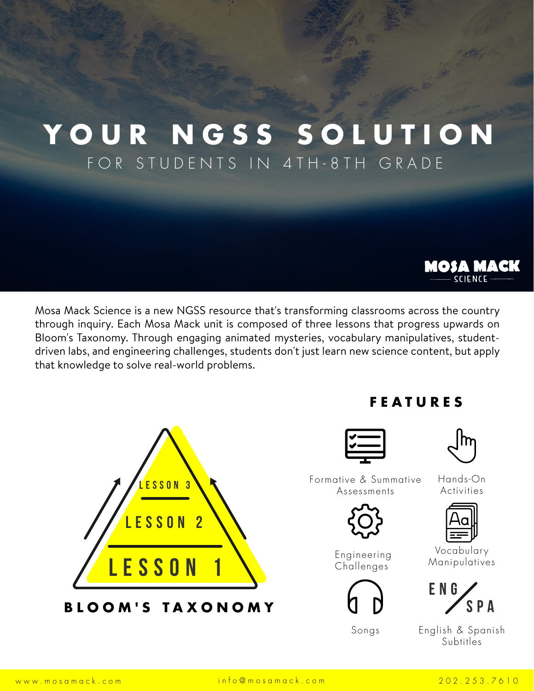# **YOUR NGSS SOLUTION** FOR STUDENTS IN 4TH-8TH GRADE

Mosa Mack Science is a new NGSS resource that's transforming classrooms across the country through inquiry. Each Mosa Mack unit is composed of three lessons that progress upwards on Bloom's Taxonomy. Through engaging animated mysteries, vocabulary manipulatives, studentdriven labs, and engineering challenges, students don't just learn new science content, but apply that knowledge to solve real-world problems.



# **FEATURES**

|  | __ |
|--|----|
|  |    |
|  |    |

| $ \mathsf{h}\mathsf{r} $ |  |
|--------------------------|--|
|                          |  |

**MOSA MACK SCIENCE** 

Formative & Summative Assessments



Engineering Challenges



Hands-On Activities



Vocabulary Manipulatives



Songs English & Spanish Subtitles